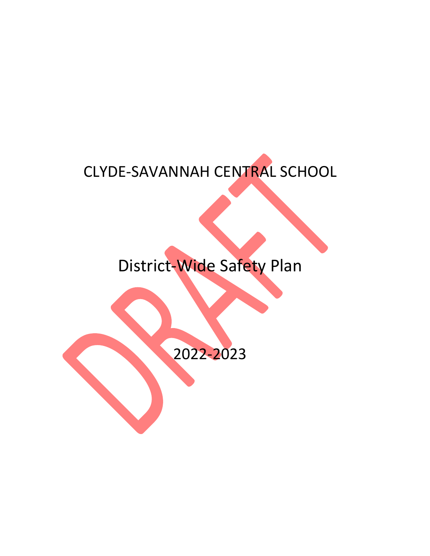## CLYDE-SAVANNAH CENTRAL SCHOOL

# District-Wide Safety Plan

2022-2023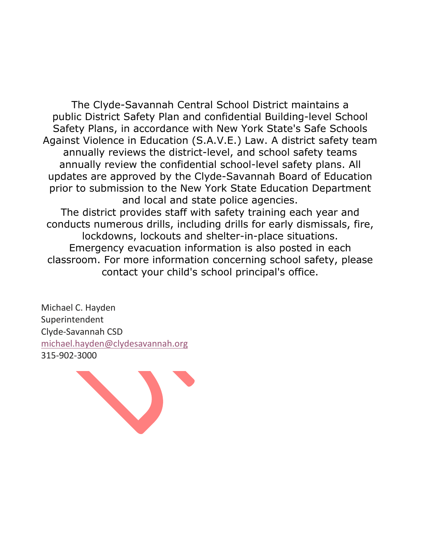The Clyde-Savannah Central School District maintains a public District Safety Plan and confidential Building-level School Safety Plans, in accordance with New York State's Safe Schools Against Violence in Education (S.A.V.E.) Law. A district safety team annually reviews the district-level, and school safety teams annually review the confidential school-level safety plans. All updates are approved by the Clyde-Savannah Board of Education prior to submission to the New York State Education Department and local and state police agencies. The district provides staff with safety training each year and conducts numerous drills, including drills for early dismissals, fire, lockdowns, lockouts and shelter-in-place situations. Emergency evacuation information is also posted in each classroom. For more information concerning school safety, please contact your child's school principal's office.

Michael C. Hayden Superintendent Clyde-Savannah CSD michael.hayden@clydesavannah.org 315-902-3000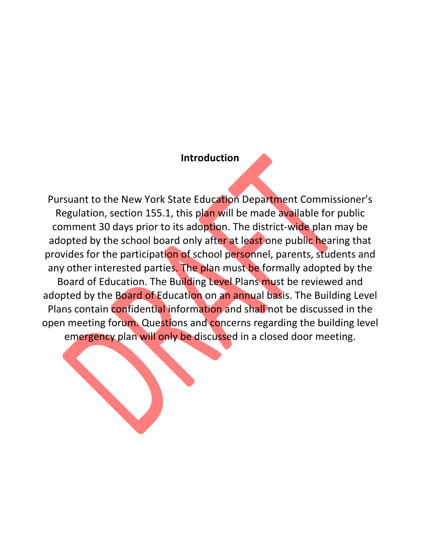### **Introduction**

Pursuant to the New York State Education Department Commissioner's Regulation, section 155.1, this plan will be made available for public comment 30 days prior to its adoption. The district-wide plan may be adopted by the school board only after at least one public hearing that provides for the participation of school personnel, parents, students and any other interested parties. The plan must be formally adopted by the Board of Education. The Building Level Plans must be reviewed and adopted by the Board of Education on an annual basis. The Building Level Plans contain confidential information and shall not be discussed in the open meeting forum. Questions and concerns regarding the building level emergency plan will only be discussed in a closed door meeting.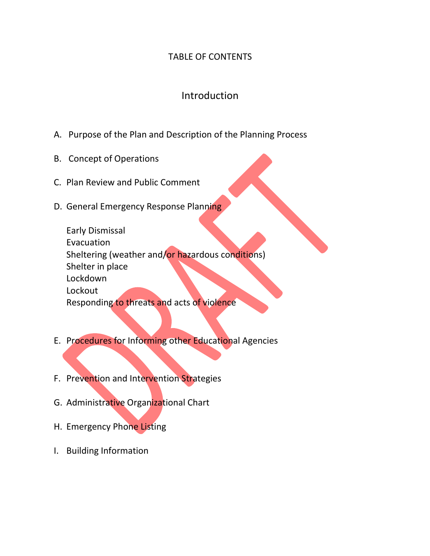## TABLE OF CONTENTS

## Introduction

- A. Purpose of the Plan and Description of the Planning Process
- B. Concept of Operations
- C. Plan Review and Public Comment
- D. General Emergency Response Planning

Early Dismissal Evacuation Sheltering (weather and/or hazardous conditions) Shelter in place Lockdown Lockout Responding to threats and acts of violence

- E. Procedures for Informing other Educational Agencies
- F. Prevention and Intervention Strategies
- G. Administrative Organizational Chart
- H. Emergency Phone Listing
- I. Building Information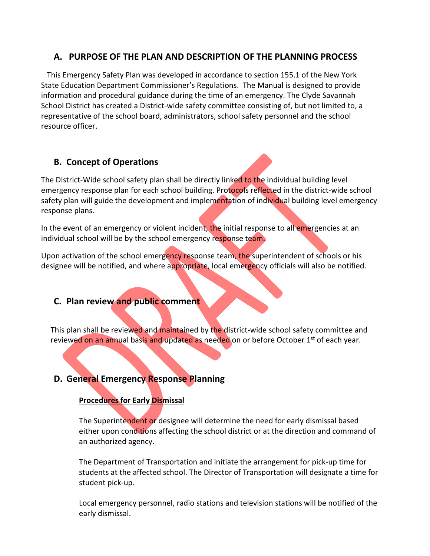## **A. PURPOSE OF THE PLAN AND DESCRIPTION OF THE PLANNING PROCESS**

 This Emergency Safety Plan was developed in accordance to section 155.1 of the New York State Education Department Commissioner's Regulations. The Manual is designed to provide information and procedural guidance during the time of an emergency. The Clyde Savannah School District has created a District-wide safety committee consisting of, but not limited to, a representative of the school board, administrators, school safety personnel and the school resource officer.

## **B. Concept of Operations**

The District-Wide school safety plan shall be directly linked to the individual building level emergency response plan for each school building. Protocols reflected in the district-wide school safety plan will guide the development and implementation of individual building level emergency response plans.

In the event of an emergency or violent incident, the initial response to all emergencies at an individual school will be by the school emergency response team.

Upon activation of the school emergency response team, the superintendent of schools or his designee will be notified, and where appropriate, local emergency officials will also be notified.

### **C. Plan review and public comment**

This plan shall be reviewed and maintained by the district-wide school safety committee and reviewed on an annual basis and updated as needed on or before October 1<sup>st</sup> of each year.

## **D. General Emergency Response Planning**

#### **Procedures for Early Dismissal**

The Superintendent or designee will determine the need for early dismissal based either upon conditions affecting the school district or at the direction and command of an authorized agency.

The Department of Transportation and initiate the arrangement for pick-up time for students at the affected school. The Director of Transportation will designate a time for student pick-up.

Local emergency personnel, radio stations and television stations will be notified of the early dismissal.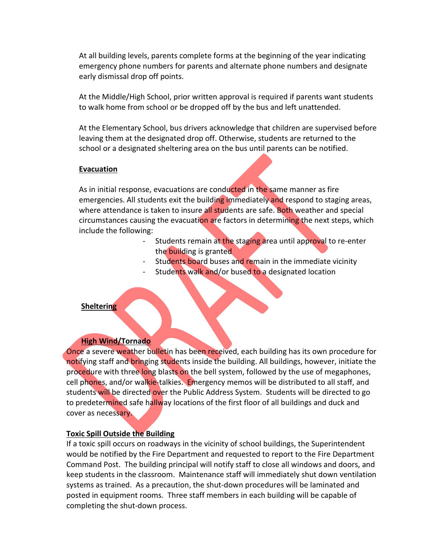At all building levels, parents complete forms at the beginning of the year indicating emergency phone numbers for parents and alternate phone numbers and designate early dismissal drop off points.

At the Middle/High School, prior written approval is required if parents want students to walk home from school or be dropped off by the bus and left unattended.

At the Elementary School, bus drivers acknowledge that children are supervised before leaving them at the designated drop off. Otherwise, students are returned to the school or a designated sheltering area on the bus until parents can be notified.

#### **Evacuation**

As in initial response, evacuations are conducted in the same manner as fire emergencies. All students exit the building immediately and respond to staging areas, where attendance is taken to insure all students are safe. Both weather and special circumstances causing the evacuation are factors in determining the next steps, which include the following:

- Students remain at the staging area until approval to re-enter the building is granted
- Students board buses and remain in the immediate vicinity
- Students walk and/or bused to a designated location

#### **Sheltering**

#### **High Wind/Tornado**

Once a severe weather bulletin has been received, each building has its own procedure for notifying staff and bringing students inside the building. All buildings, however, initiate the procedure with three long blasts on the bell system, followed by the use of megaphones, cell phones, and/or walkie-talkies. Emergency memos will be distributed to all staff, and students will be directed over the Public Address System. Students will be directed to go to predetermined safe hallway locations of the first floor of all buildings and duck and cover as necessary.

#### **Toxic Spill Outside the Building**

If a toxic spill occurs on roadways in the vicinity of school buildings, the Superintendent would be notified by the Fire Department and requested to report to the Fire Department Command Post. The building principal will notify staff to close all windows and doors, and keep students in the classroom. Maintenance staff will immediately shut down ventilation systems as trained. As a precaution, the shut-down procedures will be laminated and posted in equipment rooms. Three staff members in each building will be capable of completing the shut-down process.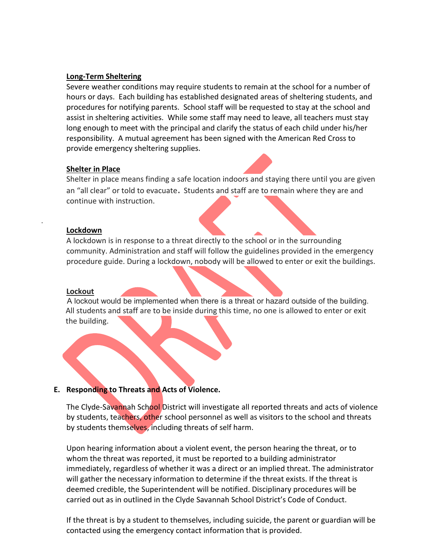#### **Long-Term Sheltering**

Severe weather conditions may require students to remain at the school for a number of hours or days. Each building has established designated areas of sheltering students, and procedures for notifying parents. School staff will be requested to stay at the school and assist in sheltering activities. While some staff may need to leave, all teachers must stay long enough to meet with the principal and clarify the status of each child under his/her responsibility. A mutual agreement has been signed with the American Red Cross to provide emergency sheltering supplies.

#### **Shelter in Place**

Shelter in place means finding a safe location indoors and staying there until you are given an "all clear" or told to evacuate. Students and staff are to remain where they are and continue with instruction.

#### **Lockdown**

.

A lockdown is in response to a threat directly to the school or in the surrounding community. Administration and staff will follow the guidelines provided in the emergency procedure guide. During a lockdown, nobody will be allowed to enter or exit the buildings.

#### **Lockout**

A lockout would be implemented when there is a threat or hazard outside of the building. All students and staff are to be inside during this time, no one is allowed to enter or exit the building.

#### **E. Responding to Threats and Acts of Violence.**

The Clyde-Savannah School District will investigate all reported threats and acts of violence by students, teachers, other school personnel as well as visitors to the school and threats by students themselves, including threats of self harm.

Upon hearing information about a violent event, the person hearing the threat, or to whom the threat was reported, it must be reported to a building administrator immediately, regardless of whether it was a direct or an implied threat. The administrator will gather the necessary information to determine if the threat exists. If the threat is deemed credible, the Superintendent will be notified. Disciplinary procedures will be carried out as in outlined in the Clyde Savannah School District's Code of Conduct.

If the threat is by a student to themselves, including suicide, the parent or guardian will be contacted using the emergency contact information that is provided.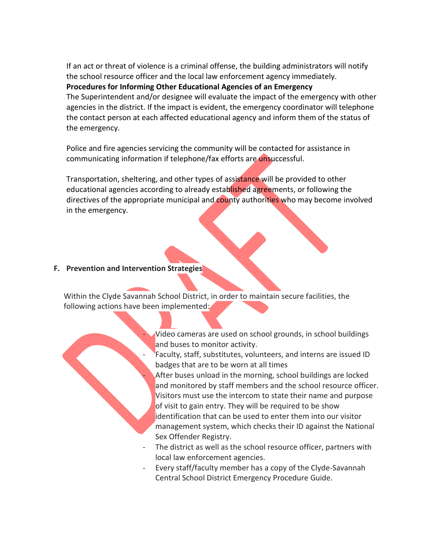If an act or threat of violence is a criminal offense, the building administrators will notify the school resource officer and the local law enforcement agency immediately.

**Procedures for Informing Other Educational Agencies of an Emergency**

The Superintendent and/or designee will evaluate the impact of the emergency with other agencies in the district. If the impact is evident, the emergency coordinator will telephone the contact person at each affected educational agency and inform them of the status of the emergency.

Police and fire agencies servicing the community will be contacted for assistance in communicating information if telephone/fax efforts are unsuccessful.

Transportation, sheltering, and other types of assistance will be provided to other educational agencies according to already established agreements, or following the directives of the appropriate municipal and county authorities who may become involved in the emergency.

#### **F. Prevention and Intervention Strategies**

Within the Clyde Savannah School District, in order to maintain secure facilities, the following actions have been implemented:

> Video cameras are used on school grounds, in school buildings and buses to monitor activity.

Faculty, staff, substitutes, volunteers, and interns are issued ID badges that are to be worn at all times

After buses unload in the morning, school buildings are locked and monitored by staff members and the school resource officer. Visitors must use the intercom to state their name and purpose of visit to gain entry. They will be required to be show identification that can be used to enter them into our visitor management system, which checks their ID against the National Sex Offender Registry.

- The district as well as the school resource officer, partners with local law enforcement agencies.
- Every staff/faculty member has a copy of the Clyde-Savannah Central School District Emergency Procedure Guide.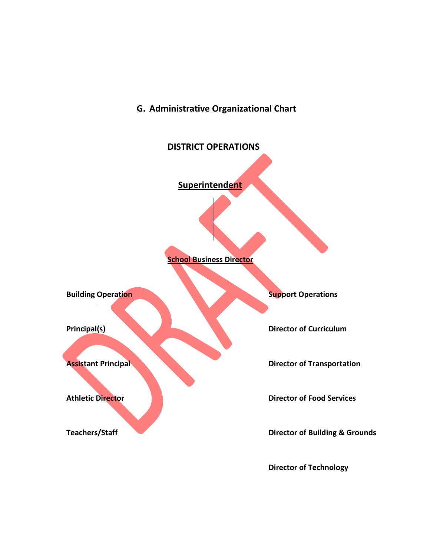## **G. Administrative Organizational Chart**



 **Director of Technology**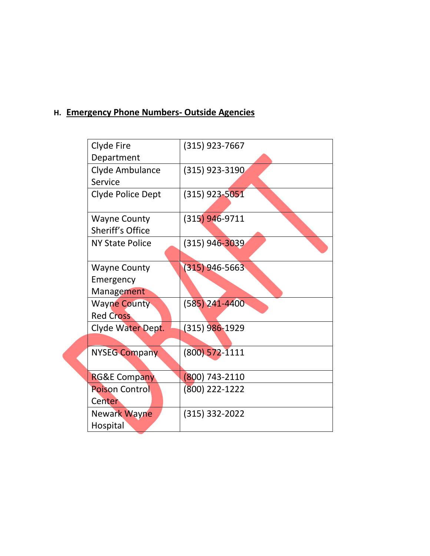## **H. Emergency Phone Numbers- Outside Agencies**

| Clyde Fire              | $(315)$ 923-7667 |
|-------------------------|------------------|
| Department              |                  |
| Clyde Ambulance         | (315) 923-3190   |
| Service                 |                  |
| Clyde Police Dept       | $(315)$ 923-5051 |
| <b>Wayne County</b>     | $(315)$ 946-9711 |
| Sheriff's Office        |                  |
| <b>NY State Police</b>  | (315) 946-3039   |
|                         |                  |
| <b>Wayne County</b>     | $(315)$ 946-5663 |
| Emergency               |                  |
| Management              |                  |
| <b>Wayne County</b>     | $(585)$ 241-4400 |
| <b>Red Cross</b>        |                  |
| Clyde Water Dept.       | (315) 986-1929   |
|                         |                  |
| <b>NYSEG Company</b>    | $(800)$ 572-1111 |
|                         |                  |
| <b>RG&amp;E Company</b> | 800) 743-2110    |
| <b>Poison Control</b>   | (800) 222-1222   |
| Center                  |                  |
| Newark Wayne            | $(315)$ 332-2022 |
| Hospital                |                  |
|                         |                  |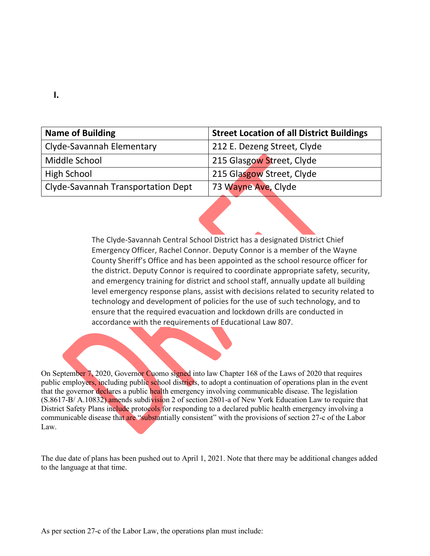| <b>Name of Building</b>            | <b>Street Location of all District Buildings</b> |
|------------------------------------|--------------------------------------------------|
| Clyde-Savannah Elementary          | 212 E. Dezeng Street, Clyde                      |
| Middle School                      | 215 Glasgow Street, Clyde                        |
| <b>High School</b>                 | 215 Glasgow Street, Clyde                        |
| Clyde-Savannah Transportation Dept | 73 Wayne Ave, Clyde                              |

The Clyde-Savannah Central School District has a designated District Chief Emergency Officer, Rachel Connor. Deputy Connor is a member of the Wayne County Sheriff's Office and has been appointed as the school resource officer for the district. Deputy Connor is required to coordinate appropriate safety, security, and emergency training for district and school staff, annually update all building level emergency response plans, assist with decisions related to security related to technology and development of policies for the use of such technology, and to ensure that the required evacuation and lockdown drills are conducted in accordance with the requirements of Educational Law 807.

On September 7, 2020, Governor Cuomo signed into law Chapter 168 of the Laws of 2020 that requires public employers, including public school districts, to adopt a continuation of operations plan in the event that the governor declares a public health emergency involving communicable disease. The legislation (S.8617-B/ A.10832) amends subdivision 2 of section 2801-a of New York Education Law to require that District Safety Plans include protocols for responding to a declared public health emergency involving a communicable disease that are "substantially consistent" with the provisions of section 27-c of the Labor Law.

The due date of plans has been pushed out to April 1, 2021. Note that there may be additional changes added to the language at that time.

**I.**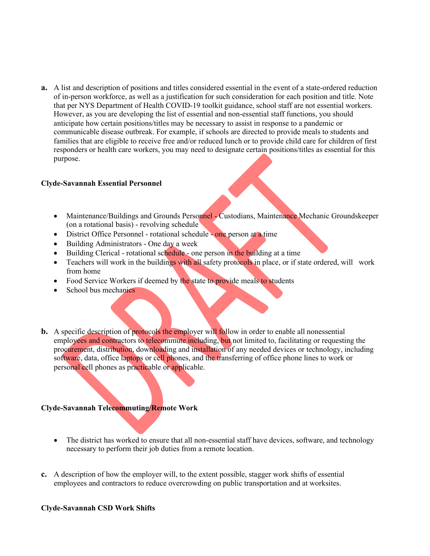**a.** A list and description of positions and titles considered essential in the event of a state-ordered reduction of in-person workforce, as well as a justification for such consideration for each position and title. Note that per NYS Department of Health COVID-19 toolkit guidance, school staff are not essential workers. However, as you are developing the list of essential and non-essential staff functions, you should anticipate how certain positions/titles may be necessary to assist in response to a pandemic or communicable disease outbreak. For example, if schools are directed to provide meals to students and families that are eligible to receive free and/or reduced lunch or to provide child care for children of first responders or health care workers, you may need to designate certain positions/titles as essential for this purpose.

#### **Clyde-Savannah Essential Personnel**

- Maintenance/Buildings and Grounds Personnel Custodians, Maintenance Mechanic Groundskeeper (on a rotational basis) - revolving schedule
- District Office Personnel rotational schedule one person at a time
- $\bullet$  Building Administrators One day a week
- $\bullet$  Building Clerical rotational schedule one person in the building at a time
- Teachers will work in the buildings with all safety protocols in place, or if state ordered, will work from home
- Food Service Workers if deemed by the state to provide meals to students
- $\bullet$  School bus mechanics
- **b.** A specific description of protocols the employer will follow in order to enable all nonessential employees and contractors to telecommute including, but not limited to, facilitating or requesting the procurement, distribution, downloading and installation of any needed devices or technology, including software, data, office laptops or cell phones, and the transferring of office phone lines to work or personal cell phones as practicable or applicable.

#### **Clyde-Savannah Telecommuting/Remote Work**

- The district has worked to ensure that all non-essential staff have devices, software, and technology necessary to perform their job duties from a remote location.
- **c.** A description of how the employer will, to the extent possible, stagger work shifts of essential employees and contractors to reduce overcrowding on public transportation and at worksites.

#### **Clyde-Savannah CSD Work Shifts**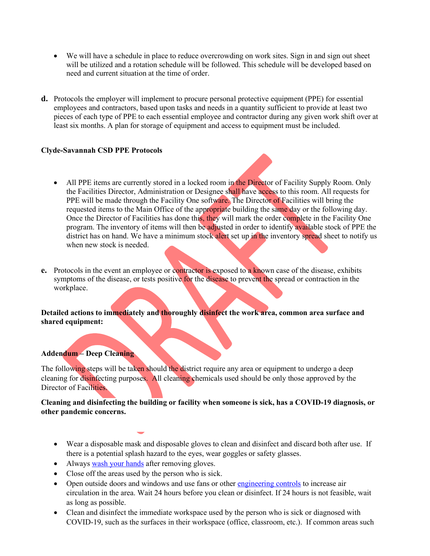- We will have a schedule in place to reduce overcrowding on work sites. Sign in and sign out sheet will be utilized and a rotation schedule will be followed. This schedule will be developed based on need and current situation at the time of order.
- **d.** Protocols the employer will implement to procure personal protective equipment (PPE) for essential employees and contractors, based upon tasks and needs in a quantity sufficient to provide at least two pieces of each type of PPE to each essential employee and contractor during any given work shift over at least six months. A plan for storage of equipment and access to equipment must be included.

#### **Clyde-Savannah CSD PPE Protocols**

- All PPE items are currently stored in a locked room in the Director of Facility Supply Room. Only the Facilities Director, Administration or Designee shall have access to this room. All requests for PPE will be made through the Facility One software. The Director of Facilities will bring the requested items to the Main Office of the appropriate building the same day or the following day. Once the Director of Facilities has done this, they will mark the order complete in the Facility One program. The inventory of items will then be adjusted in order to identify available stock of PPE the district has on hand. We have a minimum stock alert set up in the inventory spread sheet to notify us when new stock is needed.
- **e.** Protocols in the event an employee or contractor is exposed to a known case of the disease, exhibits symptoms of the disease, or tests positive for the disease to prevent the spread or contraction in the workplace.

**Detailed actions to immediately and thoroughly disinfect the work area, common area surface and shared equipment:**

#### **Addendum – Deep Cleaning**

The following steps will be taken should the district require any area or equipment to undergo a deep cleaning for disinfecting purposes. All cleaning chemicals used should be only those approved by the Director of Facilities.

#### **Cleaning and disinfecting the building or facility when someone is sick, has a COVID-19 diagnosis, or other pandemic concerns.**

- Wear a disposable mask and disposable gloves to clean and disinfect and discard both after use. If there is a potential splash hazard to the eyes, wear goggles or safety glasses.
- Always wash your hands after removing gloves.
- Close off the areas used by the person who is sick.
- Open outside doors and windows and use fans or other engineering controls to increase air circulation in the area. Wait 24 hours before you clean or disinfect. If 24 hours is not feasible, wait as long as possible.
- Clean and disinfect the immediate workspace used by the person who is sick or diagnosed with COVID-19, such as the surfaces in their workspace (office, classroom, etc.). If common areas such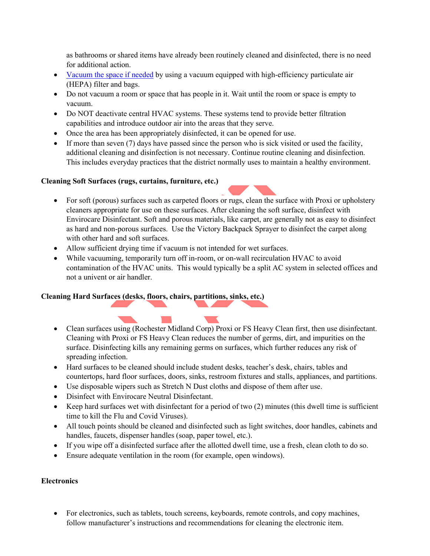as bathrooms or shared items have already been routinely cleaned and disinfected, there is no need for additional action.

- Vacuum the space if needed by using a vacuum equipped with high-efficiency particulate air (HEPA) filter and bags.
- Do not vacuum a room or space that has people in it. Wait until the room or space is empty to vacuum.
- Do NOT deactivate central HVAC systems. These systems tend to provide better filtration capabilities and introduce outdoor air into the areas that they serve.
- Once the area has been appropriately disinfected, it can be opened for use.
- $\bullet$  If more than seven (7) days have passed since the person who is sick visited or used the facility, additional cleaning and disinfection is not necessary. Continue routine cleaning and disinfection. This includes everyday practices that the district normally uses to maintain a healthy environment.

#### **Cleaning Soft Surfaces (rugs, curtains, furniture, etc.)**

- For soft (porous) surfaces such as carpeted floors or rugs, clean the surface with Proxi or upholstery cleaners appropriate for use on these surfaces. After cleaning the soft surface, disinfect with Envirocare Disinfectant. Soft and porous materials, like carpet, are generally not as easy to disinfect as hard and non-porous surfaces. Use the Victory Backpack Sprayer to disinfect the carpet along with other hard and soft surfaces.
- Allow sufficient drying time if vacuum is not intended for wet surfaces.
- While vacuuming, temporarily turn off in-room, or on-wall recirculation HVAC to avoid contamination of the HVAC units. This would typically be a split AC system in selected offices and not a univent or air handler.

#### **Cleaning Hard Surfaces (desks, floors, chairs, partitions, sinks, etc.)**

 $\sim 10$ 

- Clean surfaces using (Rochester Midland Corp) Proxi or FS Heavy Clean first, then use disinfectant. Cleaning with Proxi or FS Heavy Clean reduces the number of germs, dirt, and impurities on the surface. Disinfecting kills any remaining germs on surfaces, which further reduces any risk of spreading infection.
- Hard surfaces to be cleaned should include student desks, teacher's desk, chairs, tables and countertops, hard floor surfaces, doors, sinks, restroom fixtures and stalls, appliances, and partitions.
- Use disposable wipers such as Stretch N Dust cloths and dispose of them after use.
- Disinfect with Envirocare Neutral Disinfectant.
- $\bullet$  Keep hard surfaces wet with disinfectant for a period of two (2) minutes (this dwell time is sufficient time to kill the Flu and Covid Viruses).
- All touch points should be cleaned and disinfected such as light switches, door handles, cabinets and handles, faucets, dispenser handles (soap, paper towel, etc.).
- If you wipe off a disinfected surface after the allotted dwell time, use a fresh, clean cloth to do so.
- Ensure adequate ventilation in the room (for example, open windows).

#### **Electronics**

• For electronics, such as tablets, touch screens, keyboards, remote controls, and copy machines, follow manufacturer's instructions and recommendations for cleaning the electronic item.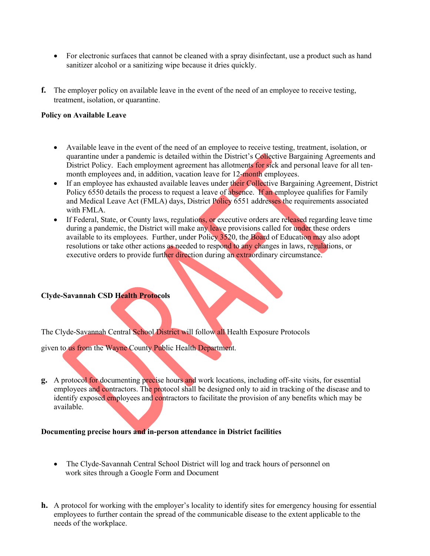- For electronic surfaces that cannot be cleaned with a spray disinfectant, use a product such as hand sanitizer alcohol or a sanitizing wipe because it dries quickly.
- **f.** The employer policy on available leave in the event of the need of an employee to receive testing, treatment, isolation, or quarantine.

#### **Policy on Available Leave**

- Available leave in the event of the need of an employee to receive testing, treatment, isolation, or quarantine under a pandemic is detailed within the District's Collective Bargaining Agreements and District Policy. Each employment agreement has allotments for sick and personal leave for all tenmonth employees and, in addition, vacation leave for 12-month employees.
- If an employee has exhausted available leaves under their Collective Bargaining Agreement, District Policy 6550 details the process to request a leave of absence. If an employee qualifies for Family and Medical Leave Act (FMLA) days, District Policy 6551 addresses the requirements associated with FMLA.
- If Federal, State, or County laws, regulations, or executive orders are released regarding leave time during a pandemic, the District will make any leave provisions called for under these orders available to its employees. Further, under Policy 3520, the Board of Education may also adopt resolutions or take other actions as needed to respond to any changes in laws, regulations, or executive orders to provide further direction during an extraordinary circumstance.

#### **Clyde-Savannah CSD Health Protocols**

The Clyde-Savannah Central School District will follow all Health Exposure Protocols

given to us from the Wayne County Public Health Department.

**g.** A protocol for documenting precise hours and work locations, including off-site visits, for essential employees and contractors. The protocol shall be designed only to aid in tracking of the disease and to identify exposed employees and contractors to facilitate the provision of any benefits which may be available.

#### **Documenting precise hours and in-person attendance in District facilities**

- The Clyde-Savannah Central School District will log and track hours of personnel on work sites through a Google Form and Document
- **h.** A protocol for working with the employer's locality to identify sites for emergency housing for essential employees to further contain the spread of the communicable disease to the extent applicable to the needs of the workplace.